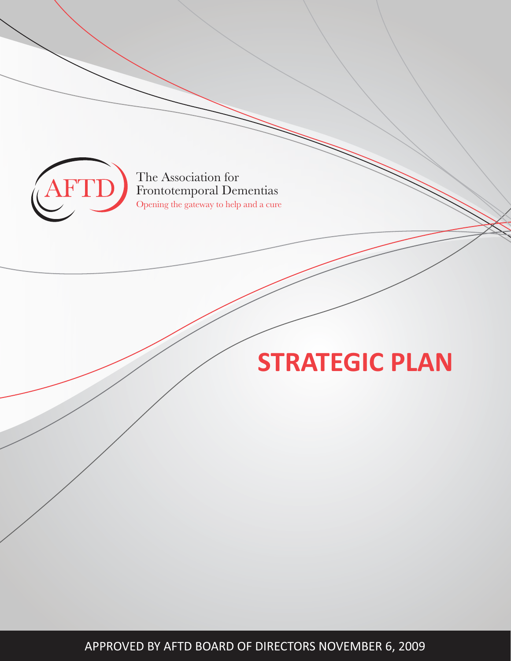

The Association for Frontotemporal Dementias Opening the gateway to help and a cure

# **STRATEGIC PLAN**

APPROVED BY AFTD BOARD OF DIRECTORS NOVEMBER 6, 2009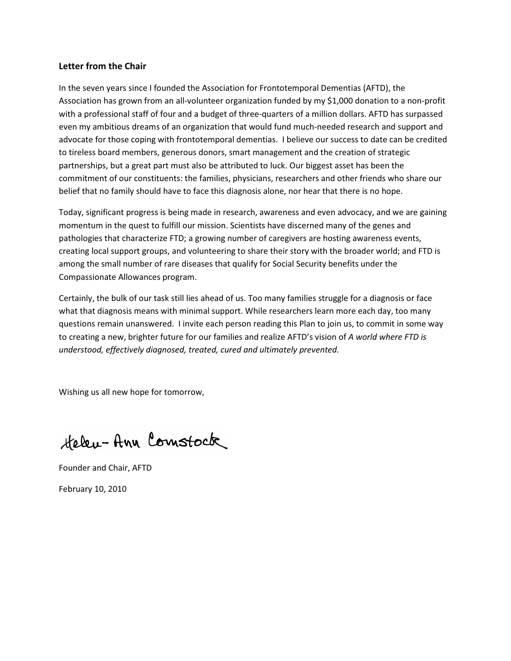## Letter from the Chair

In the seven years since I founded the Association for Frontotemporal Dementias (AFTD), the Association has grown from an all-volunteer organization funded by my \$1,000 donation to a non-profit with a professional staff of four and a budget of three-quarters of a million dollars. AFTD has surpassed even my ambitious dreams of an organization that would fund much-needed research and support and advocate for those coping with frontotemporal dementias. I believe our success to date can be credited to tireless board members, generous donors, smart management and the creation of strategic partnerships, but a great part must also be attributed to luck. Our biggest asset has been the commitment of our constituents: the families, physicians, researchers and other friends who share our belief that no family should have to face this diagnosis alone, nor hear that there is no hope.

Today, significant progress is being made in research, awareness and even advocacy, and we are gaining momentum in the quest to fulfill our mission. Scientists have discerned many of the genes and pathologies that characterize FTD; a growing number of caregivers are hosting awareness events, creating local support groups, and volunteering to share their story with the broader world; and FTD is among the small number of rare diseases that qualify for Social Security benefits under the Compassionate Allowances program.

Certainly, the bulk of our task still lies ahead of us. Too many families struggle for a diagnosis or face what that diagnosis means with minimal support. While researchers learn more each day, too many questions remain unanswered. I invite each person reading this Plan to join us, to commit in some way to creating a new, brighter future for our families and realize AFTD's vision of A world where FTD is understood, effectively diagnosed, treated, cured and ultimately prevented.

Wishing us all new hope for tomorrow,

Helen-Ann Comstock

Founder and Chair, AFTD February 10, 2010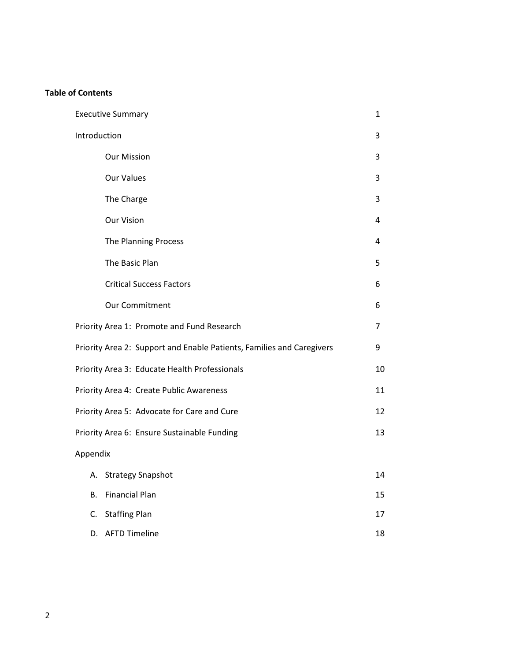# **Table of Contents**

| <b>Executive Summary</b>                                              | 1  |  |  |
|-----------------------------------------------------------------------|----|--|--|
| Introduction                                                          | 3  |  |  |
| <b>Our Mission</b>                                                    | 3  |  |  |
| <b>Our Values</b>                                                     | 3  |  |  |
| The Charge                                                            | 3  |  |  |
| <b>Our Vision</b>                                                     |    |  |  |
| <b>The Planning Process</b>                                           | 4  |  |  |
| The Basic Plan                                                        | 5  |  |  |
| <b>Critical Success Factors</b>                                       | 6  |  |  |
| <b>Our Commitment</b>                                                 | 6  |  |  |
| Priority Area 1: Promote and Fund Research                            | 7  |  |  |
| Priority Area 2: Support and Enable Patients, Families and Caregivers | 9  |  |  |
| Priority Area 3: Educate Health Professionals                         | 10 |  |  |
| Priority Area 4: Create Public Awareness                              | 11 |  |  |
| Priority Area 5: Advocate for Care and Cure                           | 12 |  |  |
| Priority Area 6: Ensure Sustainable Funding                           | 13 |  |  |
| Appendix                                                              |    |  |  |
| А.<br><b>Strategy Snapshot</b>                                        | 14 |  |  |
| <b>Financial Plan</b><br>В.                                           | 15 |  |  |
| C.<br><b>Staffing Plan</b>                                            | 17 |  |  |
| <b>AFTD Timeline</b><br>D.                                            | 18 |  |  |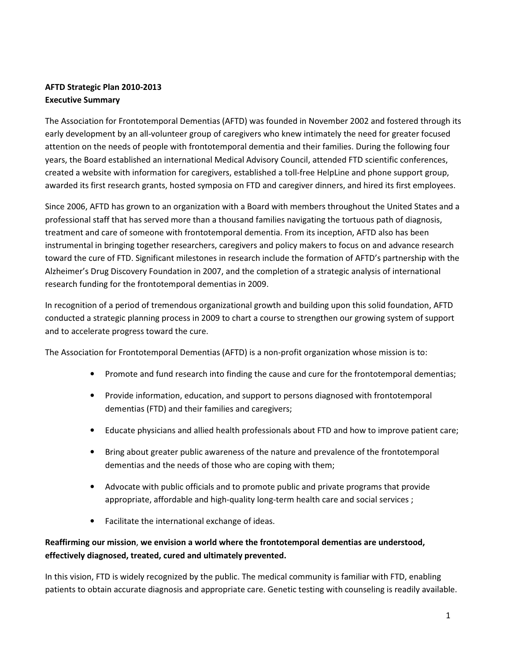# AFTD Strategic Plan 2010-2013 **Executive Summary**

The Association for Frontotemporal Dementias (AFTD) was founded in November 2002 and fostered through its early development by an all-volunteer group of caregivers who knew intimately the need for greater focused attention on the needs of people with frontotemporal dementia and their families. During the following four years, the Board established an international Medical Advisory Council, attended FTD scientific conferences, created a website with information for caregivers, established a toll-free HelpLine and phone support group, awarded its first research grants, hosted symposia on FTD and caregiver dinners, and hired its first employees.

Since 2006, AFTD has grown to an organization with a Board with members throughout the United States and a professional staff that has served more than a thousand families navigating the tortuous path of diagnosis, treatment and care of someone with frontotemporal dementia. From its inception, AFTD also has been instrumental in bringing together researchers, caregivers and policy makers to focus on and advance research toward the cure of FTD. Significant milestones in research include the formation of AFTD's partnership with the Alzheimer's Drug Discovery Foundation in 2007, and the completion of a strategic analysis of international research funding for the frontotemporal dementias in 2009.

In recognition of a period of tremendous organizational growth and building upon this solid foundation, AFTD conducted a strategic planning process in 2009 to chart a course to strengthen our growing system of support and to accelerate progress toward the cure.

The Association for Frontotemporal Dementias (AFTD) is a non-profit organization whose mission is to:

- Promote and fund research into finding the cause and cure for the frontotemporal dementias;
- Provide information, education, and support to persons diagnosed with frontotemporal dementias (FTD) and their families and caregivers;
- Educate physicians and allied health professionals about FTD and how to improve patient care;
- Bring about greater public awareness of the nature and prevalence of the frontotemporal dementias and the needs of those who are coping with them;
- Advocate with public officials and to promote public and private programs that provide appropriate, affordable and high-quality long-term health care and social services;
- Facilitate the international exchange of ideas.

# Reaffirming our mission, we envision a world where the frontotemporal dementias are understood, effectively diagnosed, treated, cured and ultimately prevented.

In this vision, FTD is widely recognized by the public. The medical community is familiar with FTD, enabling patients to obtain accurate diagnosis and appropriate care. Genetic testing with counseling is readily available.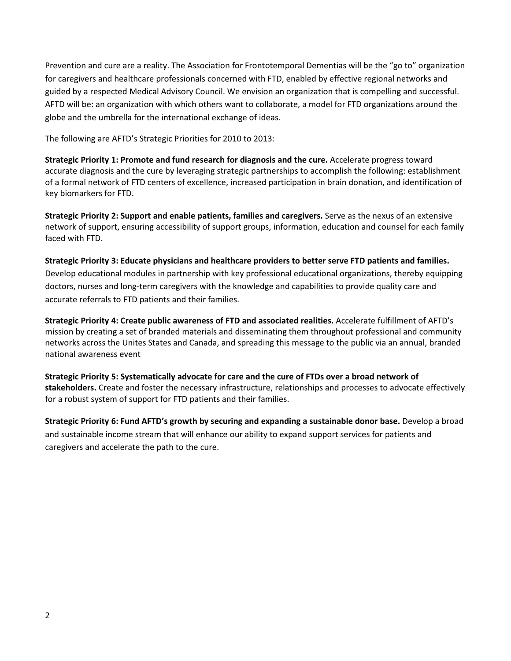Prevention and cure are a reality. The Association for Frontotemporal Dementias will be the "go to" organization for caregivers and healthcare professionals concerned with FTD, enabled by effective regional networks and guided by a respected Medical Advisory Council. We envision an organization that is compelling and successful. AFTD will be: an organization with which others want to collaborate, a model for FTD organizations around the globe and the umbrella for the international exchange of ideas.

The following are AFTD's Strategic Priorities for 2010 to 2013:

Strategic Priority 1: Promote and fund research for diagnosis and the cure. Accelerate progress toward accurate diagnosis and the cure by leveraging strategic partnerships to accomplish the following: establishment of a formal network of FTD centers of excellence, increased participation in brain donation, and identification of key biomarkers for FTD.

Strategic Priority 2: Support and enable patients, families and caregivers. Serve as the nexus of an extensive network of support, ensuring accessibility of support groups, information, education and counsel for each family faced with FTD.

Strategic Priority 3: Educate physicians and healthcare providers to better serve FTD patients and families. Develop educational modules in partnership with key professional educational organizations, thereby equipping doctors, nurses and long-term caregivers with the knowledge and capabilities to provide quality care and accurate referrals to FTD patients and their families.

Strategic Priority 4: Create public awareness of FTD and associated realities. Accelerate fulfillment of AFTD's mission by creating a set of branded materials and disseminating them throughout professional and community networks across the Unites States and Canada, and spreading this message to the public via an annual, branded national awareness event

Strategic Priority 5: Systematically advocate for care and the cure of FTDs over a broad network of stakeholders. Create and foster the necessary infrastructure, relationships and processes to advocate effectively for a robust system of support for FTD patients and their families.

Strategic Priority 6: Fund AFTD's growth by securing and expanding a sustainable donor base. Develop a broad and sustainable income stream that will enhance our ability to expand support services for patients and caregivers and accelerate the path to the cure.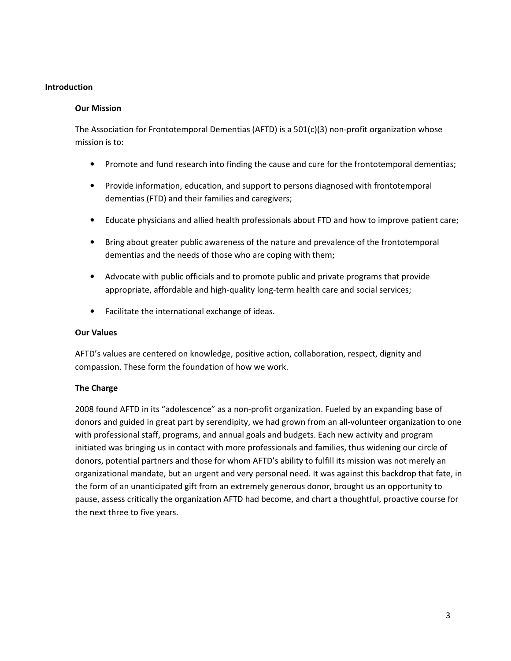## **Introduction**

#### **Our Mission**

The Association for Frontotemporal Dementias (AFTD) is a  $501(c)(3)$  non-profit organization whose mission is to:

- Promote and fund research into finding the cause and cure for the frontotemporal dementias;  $\bullet$
- Provide information, education, and support to persons diagnosed with frontotemporal dementias (FTD) and their families and caregivers;
- Educate physicians and allied health professionals about FTD and how to improve patient care;
- Bring about greater public awareness of the nature and prevalence of the frontotemporal dementias and the needs of those who are coping with them;
- Advocate with public officials and to promote public and private programs that provide appropriate, affordable and high-quality long-term health care and social services;
- Facilitate the international exchange of ideas.

## **Our Values**

AFTD's values are centered on knowledge, positive action, collaboration, respect, dignity and compassion. These form the foundation of how we work.

## **The Charge**

2008 found AFTD in its "adolescence" as a non-profit organization. Fueled by an expanding base of donors and guided in great part by serendipity, we had grown from an all-volunteer organization to one with professional staff, programs, and annual goals and budgets. Each new activity and program initiated was bringing us in contact with more professionals and families, thus widening our circle of donors, potential partners and those for whom AFTD's ability to fulfill its mission was not merely an organizational mandate, but an urgent and very personal need. It was against this backdrop that fate, in the form of an unanticipated gift from an extremely generous donor, brought us an opportunity to pause, assess critically the organization AFTD had become, and chart a thoughtful, proactive course for the next three to five years.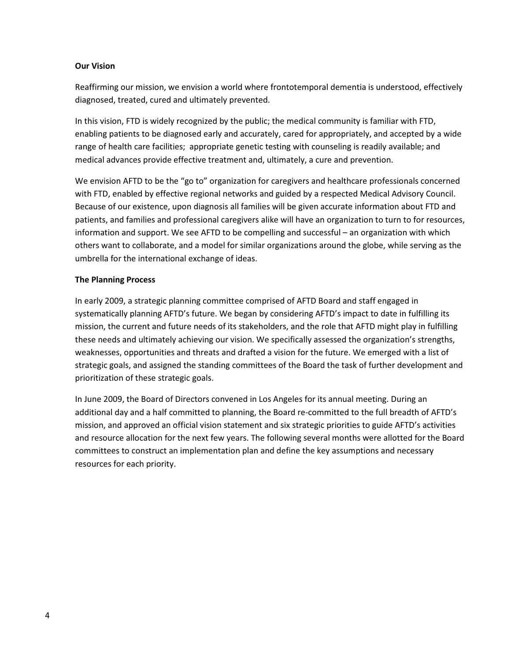## **Our Vision**

Reaffirming our mission, we envision a world where frontotemporal dementia is understood, effectively diagnosed, treated, cured and ultimately prevented.

In this vision, FTD is widely recognized by the public; the medical community is familiar with FTD, enabling patients to be diagnosed early and accurately, cared for appropriately, and accepted by a wide range of health care facilities; appropriate genetic testing with counseling is readily available; and medical advances provide effective treatment and, ultimately, a cure and prevention.

We envision AFTD to be the "go to" organization for caregivers and healthcare professionals concerned with FTD, enabled by effective regional networks and guided by a respected Medical Advisory Council. Because of our existence, upon diagnosis all families will be given accurate information about FTD and patients, and families and professional caregivers alike will have an organization to turn to for resources, information and support. We see AFTD to be compelling and successful – an organization with which others want to collaborate, and a model for similar organizations around the globe, while serving as the umbrella for the international exchange of ideas.

## **The Planning Process**

In early 2009, a strategic planning committee comprised of AFTD Board and staff engaged in systematically planning AFTD's future. We began by considering AFTD's impact to date in fulfilling its mission, the current and future needs of its stakeholders, and the role that AFTD might play in fulfilling these needs and ultimately achieving our vision. We specifically assessed the organization's strengths, weaknesses, opportunities and threats and drafted a vision for the future. We emerged with a list of strategic goals, and assigned the standing committees of the Board the task of further development and prioritization of these strategic goals.

In June 2009, the Board of Directors convened in Los Angeles for its annual meeting. During an additional day and a half committed to planning, the Board re-committed to the full breadth of AFTD's mission, and approved an official vision statement and six strategic priorities to guide AFTD's activities and resource allocation for the next few years. The following several months were allotted for the Board committees to construct an implementation plan and define the key assumptions and necessary resources for each priority.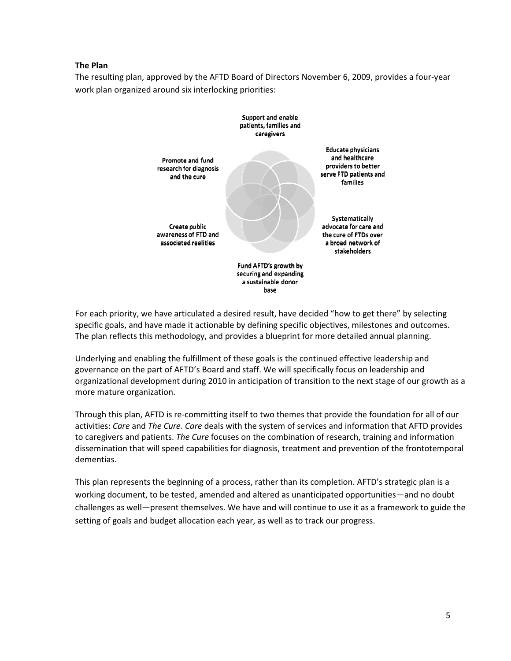## **The Plan**

The resulting plan, approved by the AFTD Board of Directors November 6, 2009, provides a four-year work plan organized around six interlocking priorities:



For each priority, we have articulated a desired result, have decided "how to get there" by selecting specific goals, and have made it actionable by defining specific objectives, milestones and outcomes. The plan reflects this methodology, and provides a blueprint for more detailed annual planning.

Underlying and enabling the fulfillment of these goals is the continued effective leadership and governance on the part of AFTD's Board and staff. We will specifically focus on leadership and organizational development during 2010 in anticipation of transition to the next stage of our growth as a more mature organization.

Through this plan, AFTD is re-committing itself to two themes that provide the foundation for all of our activities: Care and The Cure. Care deals with the system of services and information that AFTD provides to caregivers and patients. The Cure focuses on the combination of research, training and information dissemination that will speed capabilities for diagnosis, treatment and prevention of the frontotemporal dementias.

This plan represents the beginning of a process, rather than its completion. AFTD's strategic plan is a working document, to be tested, amended and altered as unanticipated opportunities—and no doubt challenges as well—present themselves. We have and will continue to use it as a framework to guide the setting of goals and budget allocation each year, as well as to track our progress.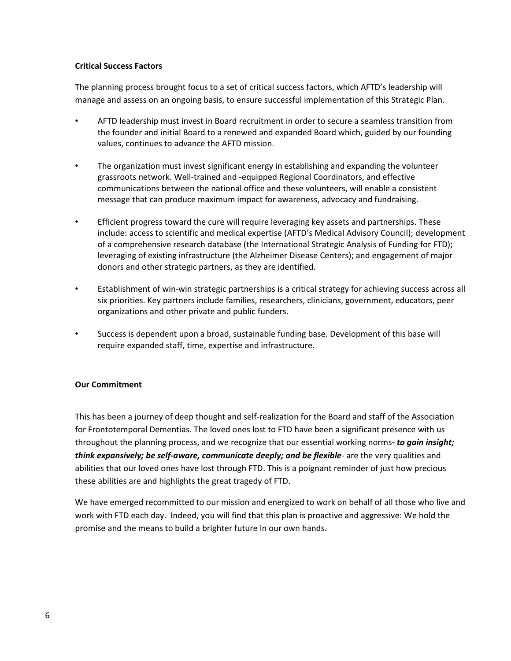## **Critical Success Factors**

The planning process brought focus to a set of critical success factors, which AFTD's leadership will manage and assess on an ongoing basis, to ensure successful implementation of this Strategic Plan.

- AFTD leadership must invest in Board recruitment in order to secure a seamless transition from the founder and initial Board to a renewed and expanded Board which, guided by our founding values, continues to advance the AFTD mission.
- The organization must invest significant energy in establishing and expanding the volunteer  $\bullet$ grassroots network. Well-trained and -equipped Regional Coordinators, and effective communications between the national office and these volunteers, will enable a consistent message that can produce maximum impact for awareness, advocacy and fundraising.
- Efficient progress toward the cure will require leveraging key assets and partnerships. These  $\bullet$ include: access to scientific and medical expertise (AFTD's Medical Advisory Council); development of a comprehensive research database (the International Strategic Analysis of Funding for FTD); leveraging of existing infrastructure (the Alzheimer Disease Centers); and engagement of major donors and other strategic partners, as they are identified.
- Establishment of win-win strategic partnerships is a critical strategy for achieving success across all  $\bullet$ six priorities. Key partners include families, researchers, clinicians, government, educators, peer organizations and other private and public funders.
- $\bullet$ Success is dependent upon a broad, sustainable funding base. Development of this base will require expanded staff, time, expertise and infrastructure.

## **Our Commitment**

This has been a journey of deep thought and self-realization for the Board and staff of the Association for Frontotemporal Dementias. The loved ones lost to FTD have been a significant presence with us throughout the planning process, and we recognize that our essential working norms- to gain insight; think expansively; be self-aware, communicate deeply; and be flexible- are the very qualities and abilities that our loved ones have lost through FTD. This is a poignant reminder of just how precious these abilities are and highlights the great tragedy of FTD.

We have emerged recommitted to our mission and energized to work on behalf of all those who live and work with FTD each day. Indeed, you will find that this plan is proactive and aggressive: We hold the promise and the means to build a brighter future in our own hands.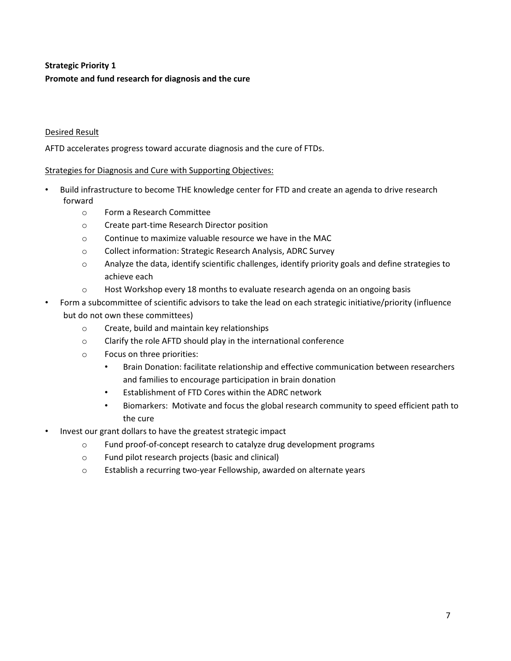# **Strategic Priority 1** Promote and fund research for diagnosis and the cure

# **Desired Result**

AFTD accelerates progress toward accurate diagnosis and the cure of FTDs.

## **Strategies for Diagnosis and Cure with Supporting Objectives:**

- Build infrastructure to become THE knowledge center for FTD and create an agenda to drive research forward
	- Form a Research Committee  $\bigcap$
	- Create part-time Research Director position  $\circ$
	- Continue to maximize valuable resource we have in the MAC  $\circ$
	- Collect information: Strategic Research Analysis, ADRC Survey  $\circ$
	- Analyze the data, identify scientific challenges, identify priority goals and define strategies to  $\circ$ achieve each
	- Host Workshop every 18 months to evaluate research agenda on an ongoing basis  $\circ$
- Form a subcommittee of scientific advisors to take the lead on each strategic initiative/priority (influence but do not own these committees)
	- $\circ$ Create, build and maintain key relationships
	- Clarify the role AFTD should play in the international conference  $\circ$
	- Focus on three priorities:  $\circ$ 
		- Brain Donation: facilitate relationship and effective communication between researchers  $\bullet$ and families to encourage participation in brain donation
		- Establishment of FTD Cores within the ADRC network
		- Biomarkers: Motivate and focus the global research community to speed efficient path to the cure
- Invest our grant dollars to have the greatest strategic impact
	- $\circ$ Fund proof-of-concept research to catalyze drug development programs
	- Fund pilot research projects (basic and clinical)  $\circ$
	- Establish a recurring two-year Fellowship, awarded on alternate years  $\circ$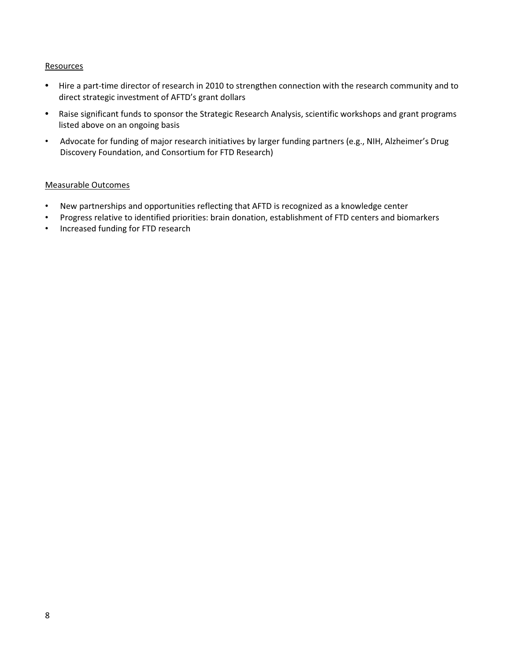## Resources

- Hire a part-time director of research in 2010 to strengthen connection with the research community and to  $\bullet$ direct strategic investment of AFTD's grant dollars
- Raise significant funds to sponsor the Strategic Research Analysis, scientific workshops and grant programs  $\bullet$ listed above on an ongoing basis
- $\bullet$ Advocate for funding of major research initiatives by larger funding partners (e.g., NIH, Alzheimer's Drug Discovery Foundation, and Consortium for FTD Research)

- New partnerships and opportunities reflecting that AFTD is recognized as a knowledge center  $\bullet$
- Progress relative to identified priorities: brain donation, establishment of FTD centers and biomarkers  $\bullet$
- Increased funding for FTD research  $\bullet$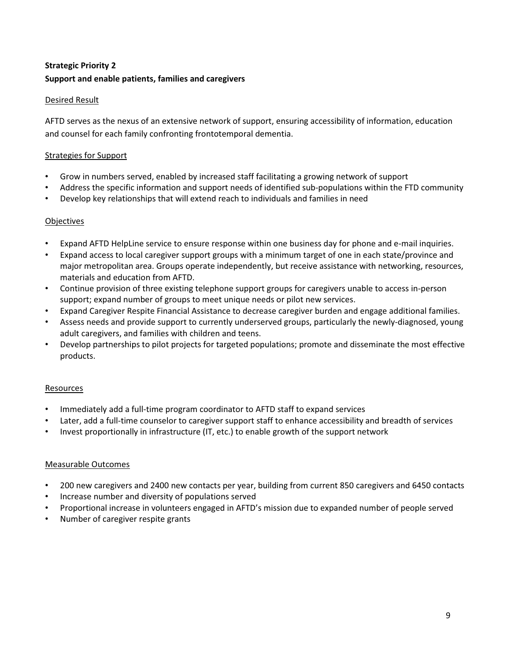# **Strategic Priority 2** Support and enable patients, families and caregivers

## **Desired Result**

AFTD serves as the nexus of an extensive network of support, ensuring accessibility of information, education and counsel for each family confronting frontotemporal dementia.

## **Strategies for Support**

- Grow in numbers served, enabled by increased staff facilitating a growing network of support
- Address the specific information and support needs of identified sub-populations within the FTD community
- Develop key relationships that will extend reach to individuals and families in need

## Objectives

- Expand AFTD HelpLine service to ensure response within one business day for phone and e-mail inquiries.
- Expand access to local caregiver support groups with a minimum target of one in each state/province and major metropolitan area. Groups operate independently, but receive assistance with networking, resources, materials and education from AFTD.
- Continue provision of three existing telephone support groups for caregivers unable to access in-person support; expand number of groups to meet unique needs or pilot new services.
- Expand Caregiver Respite Financial Assistance to decrease caregiver burden and engage additional families.
- Assess needs and provide support to currently underserved groups, particularly the newly-diagnosed, young adult caregivers, and families with children and teens.
- Develop partnerships to pilot projects for targeted populations; promote and disseminate the most effective products.

## **Resources**

- Immediately add a full-time program coordinator to AFTD staff to expand services
- Later, add a full-time counselor to caregiver support staff to enhance accessibility and breadth of services
- Invest proportionally in infrastructure (IT, etc.) to enable growth of the support network

- 200 new caregivers and 2400 new contacts per year, building from current 850 caregivers and 6450 contacts
- Increase number and diversity of populations served
- Proportional increase in volunteers engaged in AFTD's mission due to expanded number of people served
- Number of caregiver respite grants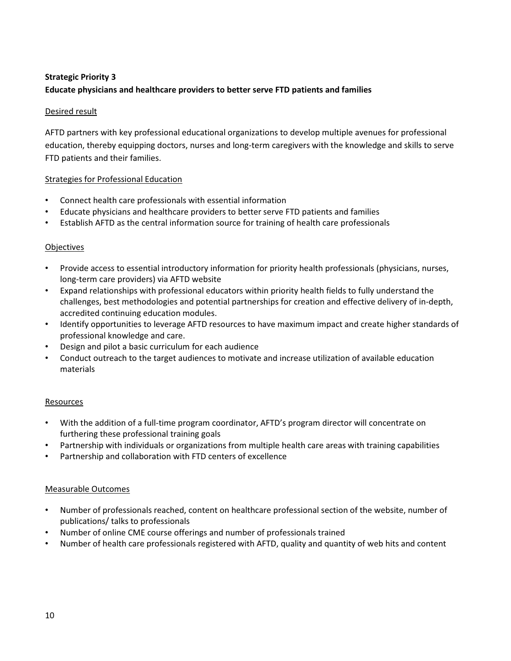# **Strategic Priority 3** Educate physicians and healthcare providers to better serve FTD patients and families

## Desired result

AFTD partners with key professional educational organizations to develop multiple avenues for professional education, thereby equipping doctors, nurses and long-term caregivers with the knowledge and skills to serve FTD patients and their families.

## **Strategies for Professional Education**

- $\bullet$ Connect health care professionals with essential information
- Educate physicians and healthcare providers to better serve FTD patients and families
- Establish AFTD as the central information source for training of health care professionals

## **Objectives**

- Provide access to essential introductory information for priority health professionals (physicians, nurses, long-term care providers) via AFTD website
- Expand relationships with professional educators within priority health fields to fully understand the challenges, best methodologies and potential partnerships for creation and effective delivery of in-depth, accredited continuing education modules.
- Identify opportunities to leverage AFTD resources to have maximum impact and create higher standards of professional knowledge and care.
- Design and pilot a basic curriculum for each audience
- Conduct outreach to the target audiences to motivate and increase utilization of available education materials

## Resources

- With the addition of a full-time program coordinator, AFTD's program director will concentrate on furthering these professional training goals
- Partnership with individuals or organizations from multiple health care areas with training capabilities
- Partnership and collaboration with FTD centers of excellence

- Number of professionals reached, content on healthcare professional section of the website, number of publications/ talks to professionals
- Number of online CME course offerings and number of professionals trained
- Number of health care professionals registered with AFTD, quality and quantity of web hits and content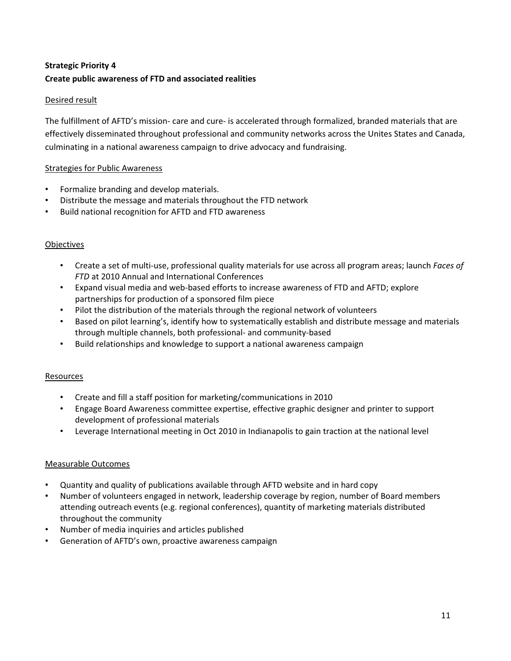# **Strategic Priority 4** Create public awareness of FTD and associated realities

## Desired result

The fulfillment of AFTD's mission- care and cure- is accelerated through formalized, branded materials that are effectively disseminated throughout professional and community networks across the Unites States and Canada, culminating in a national awareness campaign to drive advocacy and fundraising.

## **Strategies for Public Awareness**

- Formalize branding and develop materials.
- Distribute the message and materials throughout the FTD network
- Build national recognition for AFTD and FTD awareness

# Objectives

- Create a set of multi-use, professional quality materials for use across all program areas; launch Faces of FTD at 2010 Annual and International Conferences
- Expand visual media and web-based efforts to increase awareness of FTD and AFTD; explore partnerships for production of a sponsored film piece
- Pilot the distribution of the materials through the regional network of volunteers
- Based on pilot learning's, identify how to systematically establish and distribute message and materials through multiple channels, both professional- and community-based
- Build relationships and knowledge to support a national awareness campaign

## Resources

- Create and fill a staff position for marketing/communications in 2010
- Engage Board Awareness committee expertise, effective graphic designer and printer to support development of professional materials
- Leverage International meeting in Oct 2010 in Indianapolis to gain traction at the national level

- Quantity and quality of publications available through AFTD website and in hard copy
- Number of volunteers engaged in network, leadership coverage by region, number of Board members attending outreach events (e.g. regional conferences), quantity of marketing materials distributed throughout the community
- Number of media inquiries and articles published
- Generation of AFTD's own, proactive awareness campaign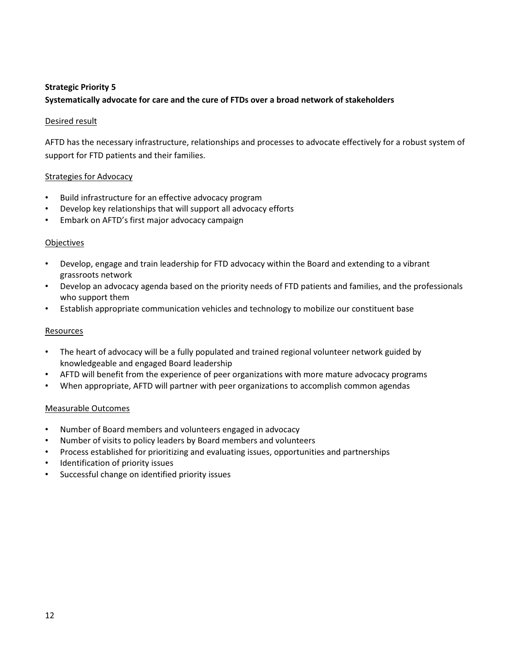# **Strategic Priority 5** Systematically advocate for care and the cure of FTDs over a broad network of stakeholders

## Desired result

AFTD has the necessary infrastructure, relationships and processes to advocate effectively for a robust system of support for FTD patients and their families.

## **Strategies for Advocacy**

- Build infrastructure for an effective advocacy program
- Develop key relationships that will support all advocacy efforts
- Embark on AFTD's first major advocacy campaign

## Objectives

- Develop, engage and train leadership for FTD advocacy within the Board and extending to a vibrant  $\bullet$  . grassroots network
- Develop an advocacy agenda based on the priority needs of FTD patients and families, and the professionals who support them
- Establish appropriate communication vehicles and technology to mobilize our constituent base

## Resources

- $\bullet$ The heart of advocacy will be a fully populated and trained regional volunteer network guided by knowledgeable and engaged Board leadership
- AFTD will benefit from the experience of peer organizations with more mature advocacy programs
- When appropriate, AFTD will partner with peer organizations to accomplish common agendas

- Number of Board members and volunteers engaged in advocacy
- Number of visits to policy leaders by Board members and volunteers
- Process established for prioritizing and evaluating issues, opportunities and partnerships
- Identification of priority issues
- Successful change on identified priority issues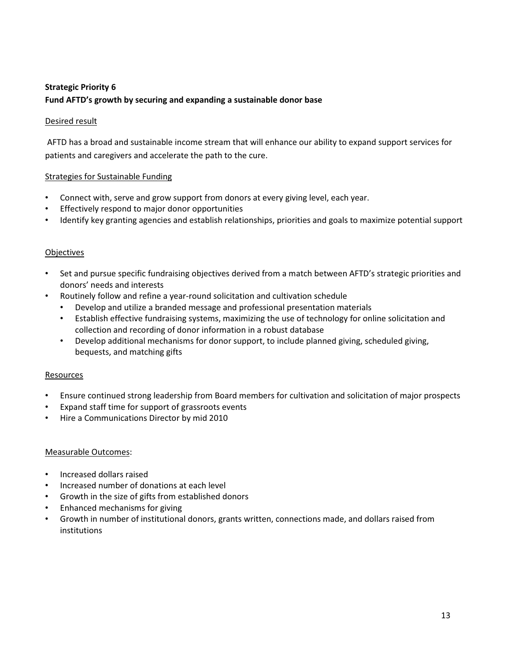# **Strategic Priority 6** Fund AFTD's growth by securing and expanding a sustainable donor base

## Desired result

AFTD has a broad and sustainable income stream that will enhance our ability to expand support services for patients and caregivers and accelerate the path to the cure.

## **Strategies for Sustainable Funding**

- Connect with, serve and grow support from donors at every giving level, each year.
- Effectively respond to major donor opportunities
- Identify key granting agencies and establish relationships, priorities and goals to maximize potential support

## Objectives

- Set and pursue specific fundraising objectives derived from a match between AFTD's strategic priorities and donors' needs and interests
- Routinely follow and refine a year-round solicitation and cultivation schedule  $\bullet$ 
	- Develop and utilize a branded message and professional presentation materials
	- Establish effective fundraising systems, maximizing the use of technology for online solicitation and  $\bullet$  . collection and recording of donor information in a robust database
	- Develop additional mechanisms for donor support, to include planned giving, scheduled giving, bequests, and matching gifts

## Resources

- Ensure continued strong leadership from Board members for cultivation and solicitation of major prospects
- Expand staff time for support of grassroots events
- Hire a Communications Director by mid 2010

- Increased dollars raised
- Increased number of donations at each level
- Growth in the size of gifts from established donors
- Enhanced mechanisms for giving
- Growth in number of institutional donors, grants written, connections made, and dollars raised from institutions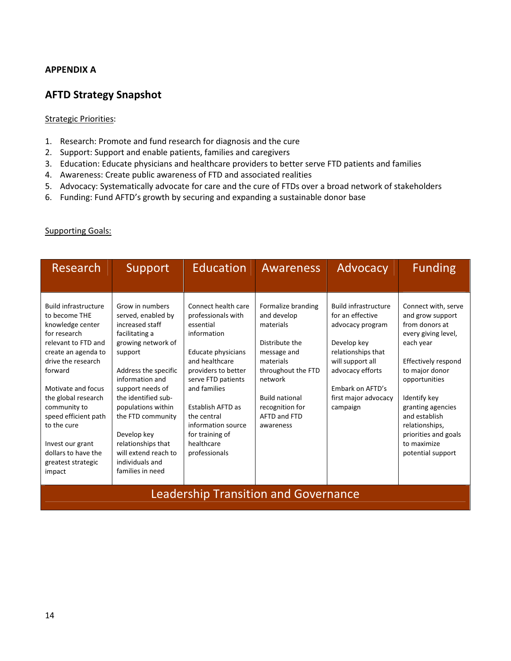# **APPENDIX A**

# **AFTD Strategy Snapshot**

## **Strategic Priorities:**

- 1. Research: Promote and fund research for diagnosis and the cure
- 2. Support: Support and enable patients, families and caregivers
- 3. Education: Educate physicians and healthcare providers to better serve FTD patients and families
- 4. Awareness: Create public awareness of FTD and associated realities
- 5. Advocacy: Systematically advocate for care and the cure of FTDs over a broad network of stakeholders
- 6. Funding: Fund AFTD's growth by securing and expanding a sustainable donor base

## **Supporting Goals:**

| <b>Research</b>                                                                                                                                                                                                                                                                                                                                | Support                                                                                                                                                                                                                                                                                                                                          | <b>Education</b>                                                                                                                                                                                                                                                                       | <b>Awareness</b>                                                                                                                                                                                       | Advocacy                                                                                                                                                                                                 | <b>Funding</b>                                                                                                                                                                                                                                                                              |
|------------------------------------------------------------------------------------------------------------------------------------------------------------------------------------------------------------------------------------------------------------------------------------------------------------------------------------------------|--------------------------------------------------------------------------------------------------------------------------------------------------------------------------------------------------------------------------------------------------------------------------------------------------------------------------------------------------|----------------------------------------------------------------------------------------------------------------------------------------------------------------------------------------------------------------------------------------------------------------------------------------|--------------------------------------------------------------------------------------------------------------------------------------------------------------------------------------------------------|----------------------------------------------------------------------------------------------------------------------------------------------------------------------------------------------------------|---------------------------------------------------------------------------------------------------------------------------------------------------------------------------------------------------------------------------------------------------------------------------------------------|
| <b>Build infrastructure</b><br>to become THE<br>knowledge center<br>for research<br>relevant to FTD and<br>create an agenda to<br>drive the research<br>forward<br>Motivate and focus<br>the global research<br>community to<br>speed efficient path<br>to the cure<br>Invest our grant<br>dollars to have the<br>greatest strategic<br>impact | Grow in numbers<br>served, enabled by<br>increased staff<br>facilitating a<br>growing network of<br>support<br>Address the specific<br>information and<br>support needs of<br>the identified sub-<br>populations within<br>the FTD community<br>Develop key<br>relationships that<br>will extend reach to<br>individuals and<br>families in need | Connect health care<br>professionals with<br>essential<br>information<br>Educate physicians<br>and healthcare<br>providers to better<br>serve FTD patients<br>and families<br>Establish AFTD as<br>the central<br>information source<br>for training of<br>healthcare<br>professionals | Formalize branding<br>and develop<br>materials<br>Distribute the<br>message and<br>materials<br>throughout the FTD<br>network<br><b>Build national</b><br>recognition for<br>AFTD and FTD<br>awareness | <b>Build infrastructure</b><br>for an effective<br>advocacy program<br>Develop key<br>relationships that<br>will support all<br>advocacy efforts<br>Embark on AFTD's<br>first major advocacy<br>campaign | Connect with, serve<br>and grow support<br>from donors at<br>every giving level,<br>each year<br>Effectively respond<br>to major donor<br>opportunities<br>Identify key<br>granting agencies<br>and establish<br>relationships,<br>priorities and goals<br>to maximize<br>potential support |

**Leadership Transition and Governance**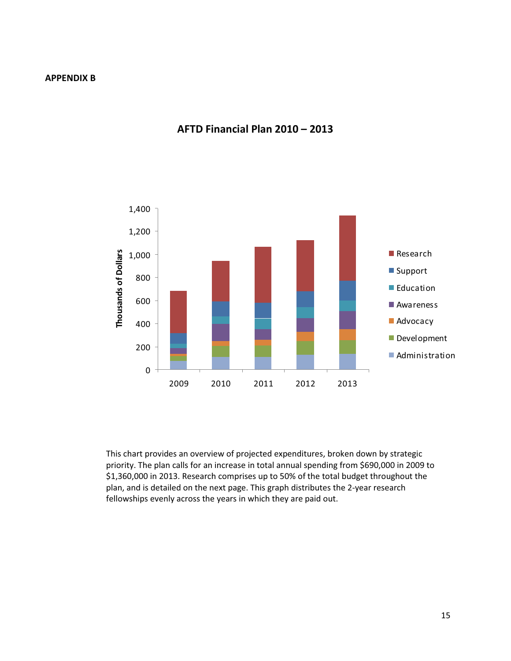

# AFTD Financial Plan 2010 - 2013

This chart provides an overview of projected expenditures, broken down by strategic priority. The plan calls for an increase in total annual spending from \$690,000 in 2009 to \$1,360,000 in 2013. Research comprises up to 50% of the total budget throughout the plan, and is detailed on the next page. This graph distributes the 2-year research fellowships evenly across the years in which they are paid out.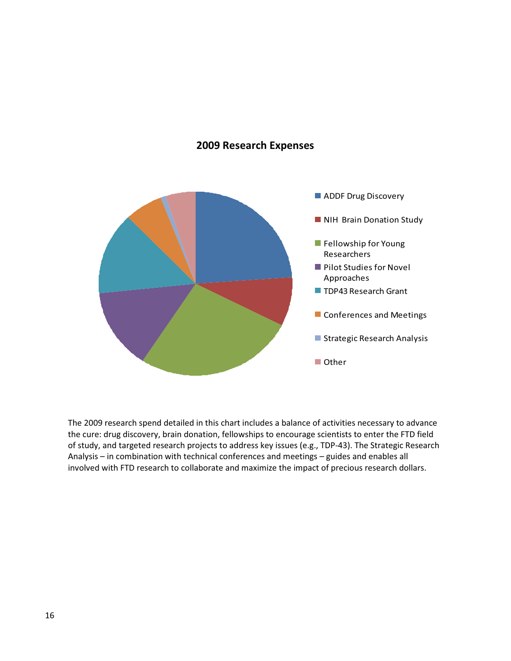# **2009 Research Expenses**



The 2009 research spend detailed in this chart includes a balance of activities necessary to advance the cure: drug discovery, brain donation, fellowships to encourage scientists to enter the FTD field of study, and targeted research projects to address key issues (e.g., TDP-43). The Strategic Research Analysis - in combination with technical conferences and meetings - guides and enables all involved with FTD research to collaborate and maximize the impact of precious research dollars.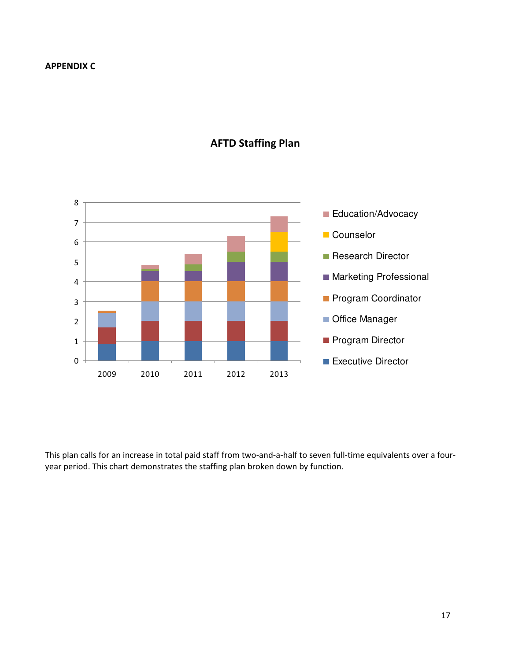

# **AFTD Staffing Plan**

This plan calls for an increase in total paid staff from two-and-a-half to seven full-time equivalents over a fouryear period. This chart demonstrates the staffing plan broken down by function.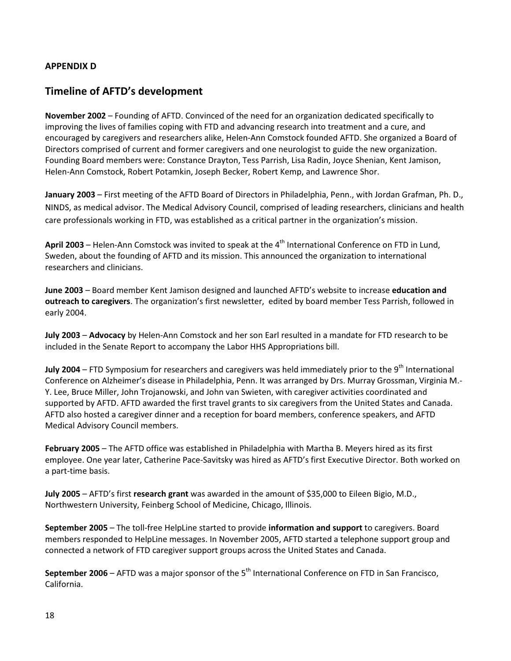# **APPENDIX D**

# **Timeline of AFTD's development**

November 2002 – Founding of AFTD. Convinced of the need for an organization dedicated specifically to improving the lives of families coping with FTD and advancing research into treatment and a cure, and encouraged by caregivers and researchers alike, Helen-Ann Comstock founded AFTD. She organized a Board of Directors comprised of current and former caregivers and one neurologist to guide the new organization. Founding Board members were: Constance Drayton, Tess Parrish, Lisa Radin, Joyce Shenian, Kent Jamison, Helen-Ann Comstock, Robert Potamkin, Joseph Becker, Robert Kemp, and Lawrence Shor.

January 2003 – First meeting of the AFTD Board of Directors in Philadelphia, Penn., with Jordan Grafman, Ph. D., NINDS, as medical advisor. The Medical Advisory Council, comprised of leading researchers, clinicians and health care professionals working in FTD, was established as a critical partner in the organization's mission.

April 2003 – Helen-Ann Comstock was invited to speak at the  $4<sup>th</sup>$  International Conference on FTD in Lund, Sweden, about the founding of AFTD and its mission. This announced the organization to international researchers and clinicians.

June 2003 - Board member Kent Jamison designed and launched AFTD's website to increase education and outreach to caregivers. The organization's first newsletter, edited by board member Tess Parrish, followed in early 2004.

July 2003 - Advocacy by Helen-Ann Comstock and her son Earl resulted in a mandate for FTD research to be included in the Senate Report to accompany the Labor HHS Appropriations bill.

July 2004 – FTD Symposium for researchers and caregivers was held immediately prior to the 9<sup>th</sup> International Conference on Alzheimer's disease in Philadelphia, Penn. It was arranged by Drs. Murray Grossman, Virginia M.-Y. Lee, Bruce Miller, John Trojanowski, and John van Swieten, with caregiver activities coordinated and supported by AFTD. AFTD awarded the first travel grants to six caregivers from the United States and Canada. AFTD also hosted a caregiver dinner and a reception for board members, conference speakers, and AFTD Medical Advisory Council members.

February 2005 - The AFTD office was established in Philadelphia with Martha B. Meyers hired as its first employee. One year later, Catherine Pace-Savitsky was hired as AFTD's first Executive Director. Both worked on a part-time basis.

July 2005 – AFTD's first research grant was awarded in the amount of \$35,000 to Eileen Bigio, M.D., Northwestern University, Feinberg School of Medicine, Chicago, Illinois.

September 2005 - The toll-free HelpLine started to provide information and support to caregivers. Board members responded to HelpLine messages. In November 2005, AFTD started a telephone support group and connected a network of FTD caregiver support groups across the United States and Canada.

September 2006 - AFTD was a major sponsor of the 5<sup>th</sup> International Conference on FTD in San Francisco, California.